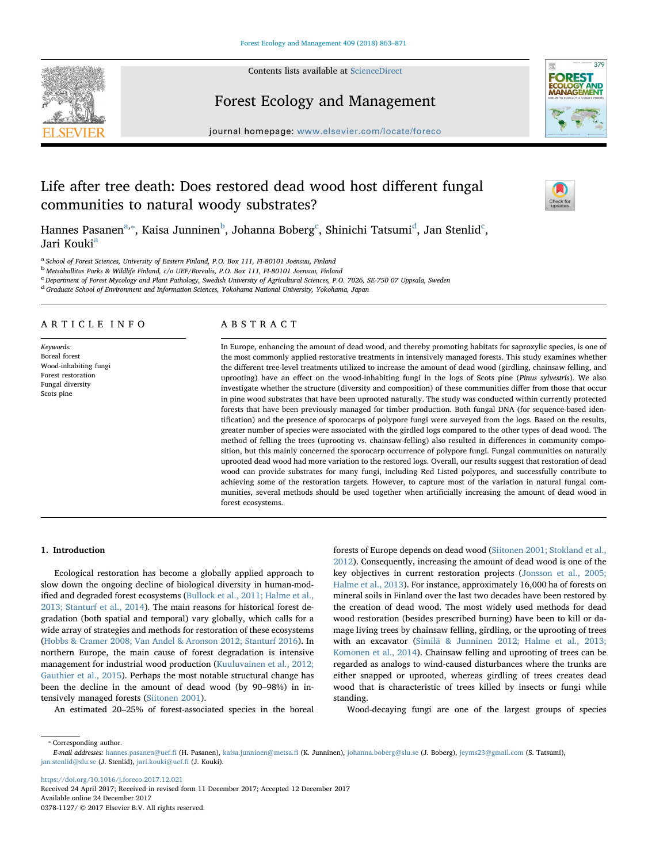Contents lists available at [ScienceDirect](http://www.sciencedirect.com/science/journal/03781127)





[T](http://crossmark.crossref.org/dialog/?doi=10.1016/j.foreco.2017.12.021&domain=pdf)

# Forest Ecology and Management

journal homepage: [www.elsevier.com/locate/foreco](https://www.elsevier.com/locate/foreco)

# Life after tree death: Does restored dead wood host different fungal communities to natural woody substrates?

Hannes Pasanen $^{\rm a, *},$  $^{\rm a, *},$  $^{\rm a, *},$  Kaisa Junninen $^{\rm b}$  $^{\rm b}$  $^{\rm b}$ , Johanna Boberg $^{\rm c}$  $^{\rm c}$  $^{\rm c}$ , Shinichi Tatsumi $^{\rm d}$  $^{\rm d}$  $^{\rm d}$ , Jan Stenlid $^{\rm c}$ , J[a](#page-0-0)ri Kouki<sup>a</sup>

<span id="page-0-0"></span><sup>a</sup> School of Forest Sciences, University of Eastern Finland, P.O. Box 111, FI-80101 Joensuu, Finland

<span id="page-0-2"></span><sup>b</sup> Metsähallitus Parks & Wildlife Finland, c/o UEF/Borealis, P.O. Box 111, FI-80101 Joensuu, Finland

<span id="page-0-3"></span>c Department of Forest Mycology and Plant Pathology, Swedish University of Agricultural Sciences, P.O. 7026, SE-750 07 Uppsala, Sweden

<span id="page-0-4"></span><sup>d</sup> Graduate School of Environment and Information Sciences, Yokohama National University, Yokohama, Japan

# ARTICLE INFO

Keywords: Boreal forest Wood-inhabiting fungi Forest restoration Fungal diversity Scots pine

# ABSTRACT

In Europe, enhancing the amount of dead wood, and thereby promoting habitats for saproxylic species, is one of the most commonly applied restorative treatments in intensively managed forests. This study examines whether the different tree-level treatments utilized to increase the amount of dead wood (girdling, chainsaw felling, and uprooting) have an effect on the wood-inhabiting fungi in the logs of Scots pine (Pinus sylvestris). We also investigate whether the structure (diversity and composition) of these communities differ from those that occur in pine wood substrates that have been uprooted naturally. The study was conducted within currently protected forests that have been previously managed for timber production. Both fungal DNA (for sequence-based identification) and the presence of sporocarps of polypore fungi were surveyed from the logs. Based on the results, greater number of species were associated with the girdled logs compared to the other types of dead wood. The method of felling the trees (uprooting vs. chainsaw-felling) also resulted in differences in community composition, but this mainly concerned the sporocarp occurrence of polypore fungi. Fungal communities on naturally uprooted dead wood had more variation to the restored logs. Overall, our results suggest that restoration of dead wood can provide substrates for many fungi, including Red Listed polypores, and successfully contribute to achieving some of the restoration targets. However, to capture most of the variation in natural fungal communities, several methods should be used together when artificially increasing the amount of dead wood in forest ecosystems.

# 1. Introduction

Ecological restoration has become a globally applied approach to slow down the ongoing decline of biological diversity in human-modified and degraded forest ecosystems ([Bullock et al., 2011; Halme et al.,](#page-8-0) [2013; Stanturf et al., 2014\)](#page-8-0). The main reasons for historical forest degradation (both spatial and temporal) vary globally, which calls for a wide array of strategies and methods for restoration of these ecosystems ([Hobbs & Cramer 2008; Van Andel & Aronson 2012; Stanturf 2016\)](#page-8-1). In northern Europe, the main cause of forest degradation is intensive management for industrial wood production [\(Kuuluvainen et al., 2012;](#page-8-2) [Gauthier et al., 2015\)](#page-8-2). Perhaps the most notable structural change has been the decline in the amount of dead wood (by 90–98%) in intensively managed forests [\(Siitonen 2001\)](#page-8-3).

An estimated 20–25% of forest-associated species in the boreal

forests of Europe depends on dead wood [\(Siitonen 2001; Stokland et al.,](#page-8-3) [2012\)](#page-8-3). Consequently, increasing the amount of dead wood is one of the key objectives in current restoration projects ([Jonsson et al., 2005;](#page-8-4) [Halme et al., 2013](#page-8-4)). For instance, approximately 16,000 ha of forests on mineral soils in Finland over the last two decades have been restored by the creation of dead wood. The most widely used methods for dead wood restoration (besides prescribed burning) have been to kill or damage living trees by chainsaw felling, girdling, or the uprooting of trees with an excavator ([Similä & Junninen 2012; Halme et al., 2013;](#page-8-5) [Komonen et al., 2014](#page-8-5)). Chainsaw felling and uprooting of trees can be regarded as analogs to wind-caused disturbances where the trunks are either snapped or uprooted, whereas girdling of trees creates dead wood that is characteristic of trees killed by insects or fungi while standing.

Wood-decaying fungi are one of the largest groups of species

<span id="page-0-1"></span>⁎ Corresponding author.

<https://doi.org/10.1016/j.foreco.2017.12.021> Received 24 April 2017; Received in revised form 11 December 2017; Accepted 12 December 2017 Available online 24 December 2017

0378-1127/ © 2017 Elsevier B.V. All rights reserved.

E-mail addresses: [hannes.pasanen@uef.](mailto:hannes.pasanen@uef.fi)fi (H. Pasanen), [kaisa.junninen@metsa.](mailto:kaisa.junninen@metsa.fi)fi (K. Junninen), [johanna.boberg@slu.se](mailto:johanna.boberg@slu.se) (J. Boberg), [jeyms23@gmail.com](mailto:jeyms23@gmail.com) (S. Tatsumi), [jan.stenlid@slu.se](mailto:jan.stenlid@slu.se) (J. Stenlid), [jari.kouki@uef.](mailto:jari.kouki@uef.fi)fi (J. Kouki).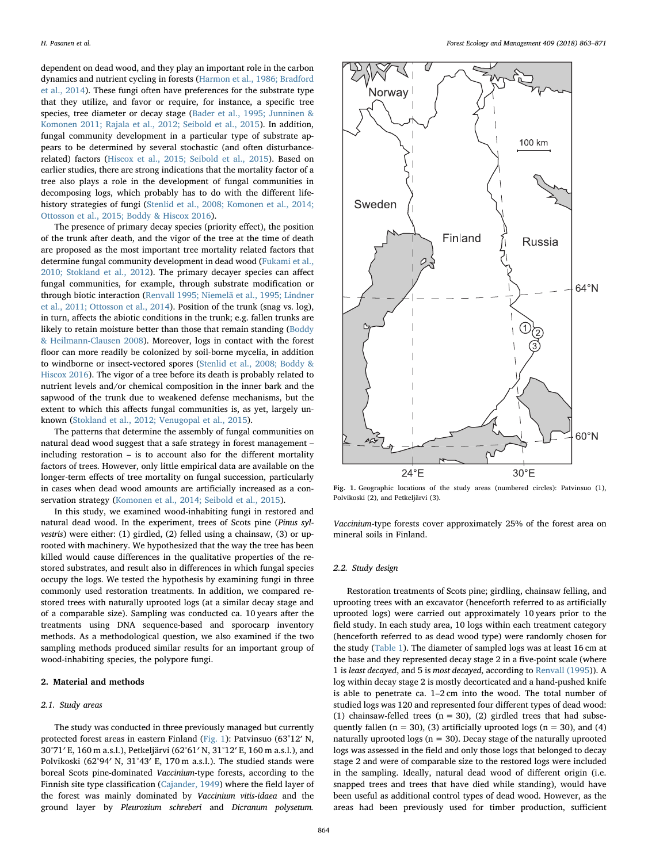dependent on dead wood, and they play an important role in the carbon dynamics and nutrient cycling in forests ([Harmon et al., 1986; Bradford](#page-8-6) [et al., 2014](#page-8-6)). These fungi often have preferences for the substrate type that they utilize, and favor or require, for instance, a specific tree species, tree diameter or decay stage ([Bader et al., 1995; Junninen &](#page-8-7) [Komonen 2011; Rajala et al., 2012; Seibold et al., 2015\)](#page-8-7). In addition, fungal community development in a particular type of substrate appears to be determined by several stochastic (and often disturbancerelated) factors [\(Hiscox et al., 2015; Seibold et al., 2015\)](#page-8-8). Based on earlier studies, there are strong indications that the mortality factor of a tree also plays a role in the development of fungal communities in decomposing logs, which probably has to do with the different life-history strategies of fungi [\(Stenlid et al., 2008; Komonen et al., 2014;](#page-8-9) [Ottosson et al., 2015; Boddy & Hiscox 2016](#page-8-9)).

The presence of primary decay species (priority effect), the position of the trunk after death, and the vigor of the tree at the time of death are proposed as the most important tree mortality related factors that determine fungal community development in dead wood ([Fukami et al.,](#page-8-10) [2010; Stokland et al., 2012\)](#page-8-10). The primary decayer species can affect fungal communities, for example, through substrate modification or through biotic interaction [\(Renvall 1995; Niemelä et al., 1995; Lindner](#page-8-11) [et al., 2011; Ottosson et al., 2014](#page-8-11)). Position of the trunk (snag vs. log), in turn, affects the abiotic conditions in the trunk; e.g. fallen trunks are likely to retain moisture better than those that remain standing [\(Boddy](#page-8-12) [& Heilmann-Clausen 2008\)](#page-8-12). Moreover, logs in contact with the forest floor can more readily be colonized by soil-borne mycelia, in addition to windborne or insect-vectored spores ([Stenlid et al., 2008; Boddy &](#page-8-9) [Hiscox 2016](#page-8-9)). The vigor of a tree before its death is probably related to nutrient levels and/or chemical composition in the inner bark and the sapwood of the trunk due to weakened defense mechanisms, but the extent to which this affects fungal communities is, as yet, largely unknown [\(Stokland et al., 2012; Venugopal et al., 2015](#page-8-13)).

The patterns that determine the assembly of fungal communities on natural dead wood suggest that a safe strategy in forest management – including restoration – is to account also for the different mortality factors of trees. However, only little empirical data are available on the longer-term effects of tree mortality on fungal succession, particularly in cases when dead wood amounts are artificially increased as a conservation strategy [\(Komonen et al., 2014; Seibold et al., 2015\)](#page-8-14).

In this study, we examined wood-inhabiting fungi in restored and natural dead wood. In the experiment, trees of Scots pine (Pinus sylvestris) were either: (1) girdled, (2) felled using a chainsaw, (3) or uprooted with machinery. We hypothesized that the way the tree has been killed would cause differences in the qualitative properties of the restored substrates, and result also in differences in which fungal species occupy the logs. We tested the hypothesis by examining fungi in three commonly used restoration treatments. In addition, we compared restored trees with naturally uprooted logs (at a similar decay stage and of a comparable size). Sampling was conducted ca. 10 years after the treatments using DNA sequence-based and sporocarp inventory methods. As a methodological question, we also examined if the two sampling methods produced similar results for an important group of wood-inhabiting species, the polypore fungi.

## 2. Material and methods

## 2.1. Study areas

The study was conducted in three previously managed but currently protected forest areas in eastern Finland [\(Fig. 1](#page-1-0)): Patvinsuo (63°12′ N, 30°71′ E, 160 m a.s.l.), Petkeljärvi (62°61′ N, 31°12′ E, 160 m a.s.l.), and Polvikoski (62°94′ N, 31°43′ E, 170 m a.s.l.). The studied stands were boreal Scots pine-dominated Vaccinium-type forests, according to the Finnish site type classification [\(Cajander, 1949\)](#page-8-15) where the field layer of the forest was mainly dominated by Vaccinium vitis-idaea and the ground layer by Pleurozium schreberi and Dicranum polysetum.

<span id="page-1-0"></span>

Fig. 1. Geographic locations of the study areas (numbered circles): Patvinsuo (1), Polvikoski (2), and Petkeljärvi (3).

Vaccinium-type forests cover approximately 25% of the forest area on mineral soils in Finland.

#### 2.2. Study design

Restoration treatments of Scots pine; girdling, chainsaw felling, and uprooting trees with an excavator (henceforth referred to as artificially uprooted logs) were carried out approximately 10 years prior to the field study. In each study area, 10 logs within each treatment category (henceforth referred to as dead wood type) were randomly chosen for the study [\(Table 1\)](#page-2-0). The diameter of sampled logs was at least 16 cm at the base and they represented decay stage 2 in a five-point scale (where 1 is least decayed, and 5 is most decayed, according to [Renvall \(1995](#page-8-11))). A log within decay stage 2 is mostly decorticated and a hand-pushed knife is able to penetrate ca. 1–2 cm into the wood. The total number of studied logs was 120 and represented four different types of dead wood: (1) chainsaw-felled trees ( $n = 30$ ), (2) girdled trees that had subsequently fallen ( $n = 30$ ), (3) artificially uprooted logs ( $n = 30$ ), and (4) naturally uprooted logs ( $n = 30$ ). Decay stage of the naturally uprooted logs was assessed in the field and only those logs that belonged to decay stage 2 and were of comparable size to the restored logs were included in the sampling. Ideally, natural dead wood of different origin (i.e. snapped trees and trees that have died while standing), would have been useful as additional control types of dead wood. However, as the areas had been previously used for timber production, sufficient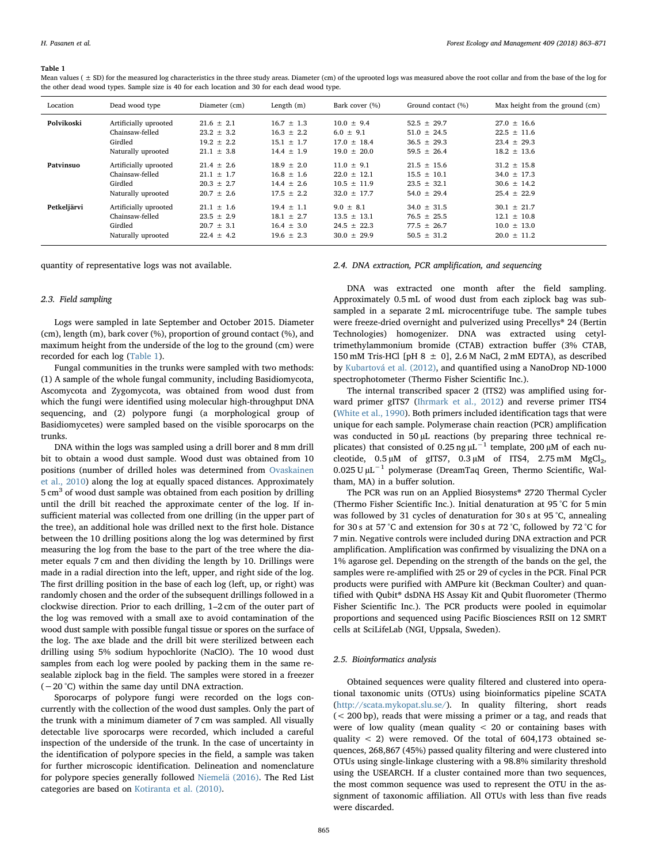#### <span id="page-2-0"></span>Table 1

| Location    | Dead wood type        | Diameter (cm)  | Length $(m)$   | Bark cover (%)  | Ground contact (%) | Max height from the ground (cm) |
|-------------|-----------------------|----------------|----------------|-----------------|--------------------|---------------------------------|
| Polvikoski  | Artificially uprooted | $21.6 \pm 2.1$ | $16.7 \pm 1.3$ | $10.0 \pm 9.4$  | $52.5 \pm 29.7$    | $27.0 \pm 16.6$                 |
|             | Chainsaw-felled       | $23.2 \pm 3.2$ | $16.3 \pm 2.2$ | $6.0 \pm 9.1$   | $51.0 \pm 24.5$    | $22.5 \pm 11.6$                 |
|             | Girdled               | $19.2 \pm 2.2$ | $15.1 \pm 1.7$ | $17.0 \pm 18.4$ | $36.5 \pm 29.3$    | $23.4 \pm 29.3$                 |
|             | Naturally uprooted    | $21.1 \pm 3.8$ | $14.4 \pm 1.9$ | $19.0 \pm 20.0$ | $59.5 \pm 26.4$    | $18.2 + 13.6$                   |
| Patvinsuo   | Artificially uprooted | $21.4 \pm 2.6$ | $18.9 \pm 2.0$ | $11.0 + 9.1$    | $21.5 \pm 15.6$    | $31.2 \pm 15.8$                 |
|             | Chainsaw-felled       | $21.1 \pm 1.7$ | $16.8 \pm 1.6$ | $22.0 \pm 12.1$ | $15.5 \pm 10.1$    | $34.0 \pm 17.3$                 |
|             | Girdled               | $20.3 \pm 2.7$ | $14.4 \pm 2.6$ | $10.5 \pm 11.9$ | $23.5 \pm 32.1$    | $30.6 \pm 14.2$                 |
|             | Naturally uprooted    | $20.7 \pm 2.6$ | $17.5 \pm 2.2$ | $32.0 \pm 17.7$ | $54.0 \pm 29.4$    | $25.4 \pm 22.9$                 |
| Petkeljärvi | Artificially uprooted | $21.1 \pm 1.6$ | $19.4 \pm 1.1$ | $9.0 \pm 8.1$   | $34.0 \pm 31.5$    | $30.1 + 21.7$                   |
|             | Chainsaw-felled       | $23.5 \pm 2.9$ | $18.1 \pm 2.7$ | $13.5 \pm 13.1$ | $76.5 \pm 25.5$    | $12.1 + 10.8$                   |
|             | Girdled               | $20.7 \pm 3.1$ | $16.4 \pm 3.0$ | $24.5 \pm 22.3$ | $77.5 \pm 26.7$    | $10.0 \pm 13.0$                 |
|             | Naturally uprooted    | $22.4 \pm 4.2$ | $19.6 \pm 2.3$ | $30.0 \pm 29.9$ | $50.5 \pm 31.2$    | $20.0 \pm 11.2$                 |

Mean values ( $\pm$  SD) for the measured log characteristics in the three study areas. Diameter (cm) of the uprooted logs was measured above the root collar and from the base of the log for the other dead wood types. Sample size is 40 for each location and 30 for each dead wood type.

quantity of representative logs was not available.

## 2.3. Field sampling

Logs were sampled in late September and October 2015. Diameter (cm), length (m), bark cover (%), proportion of ground contact (%), and maximum height from the underside of the log to the ground (cm) were recorded for each log ([Table 1](#page-2-0)).

Fungal communities in the trunks were sampled with two methods: (1) A sample of the whole fungal community, including Basidiomycota, Ascomycota and Zygomycota, was obtained from wood dust from which the fungi were identified using molecular high-throughput DNA sequencing, and (2) polypore fungi (a morphological group of Basidiomycetes) were sampled based on the visible sporocarps on the trunks.

DNA within the logs was sampled using a drill borer and 8 mm drill bit to obtain a wood dust sample. Wood dust was obtained from 10 positions (number of drilled holes was determined from [Ovaskainen](#page-8-16) [et al., 2010\)](#page-8-16) along the log at equally spaced distances. Approximately  $5 \text{ cm}^3$  of wood dust sample was obtained from each position by drilling until the drill bit reached the approximate center of the log. If insufficient material was collected from one drilling (in the upper part of the tree), an additional hole was drilled next to the first hole. Distance between the 10 drilling positions along the log was determined by first measuring the log from the base to the part of the tree where the diameter equals 7 cm and then dividing the length by 10. Drillings were made in a radial direction into the left, upper, and right side of the log. The first drilling position in the base of each log (left, up, or right) was randomly chosen and the order of the subsequent drillings followed in a clockwise direction. Prior to each drilling, 1–2 cm of the outer part of the log was removed with a small axe to avoid contamination of the wood dust sample with possible fungal tissue or spores on the surface of the log. The axe blade and the drill bit were sterilized between each drilling using 5% sodium hypochlorite (NaClO). The 10 wood dust samples from each log were pooled by packing them in the same resealable ziplock bag in the field. The samples were stored in a freezer (−20 °C) within the same day until DNA extraction.

Sporocarps of polypore fungi were recorded on the logs concurrently with the collection of the wood dust samples. Only the part of the trunk with a minimum diameter of 7 cm was sampled. All visually detectable live sporocarps were recorded, which included a careful inspection of the underside of the trunk. In the case of uncertainty in the identification of polypore species in the field, a sample was taken for further microscopic identification. Delineation and nomenclature for polypore species generally followed [Niemelä \(2016\)](#page-8-17). The Red List categories are based on [Kotiranta et al. \(2010\).](#page-8-18)

## 2.4. DNA extraction, PCR amplification, and sequencing

DNA was extracted one month after the field sampling. Approximately 0.5 mL of wood dust from each ziplock bag was subsampled in a separate 2 mL microcentrifuge tube. The sample tubes were freeze-dried overnight and pulverized using Precellys® 24 (Bertin Technologies) homogenizer. DNA was extracted using cetyltrimethylammonium bromide (CTAB) extraction buffer (3% CTAB, 150 mM Tris-HCl [pH  $8 \pm 0$ ], 2.6 M NaCl, 2 mM EDTA), as described by [Kubartová et al. \(2012\),](#page-8-19) and quantified using a NanoDrop ND-1000 spectrophotometer (Thermo Fisher Scientific Inc.).

The internal transcribed spacer 2 (ITS2) was amplified using forward primer gITS7 ([Ihrmark et al., 2012](#page-8-20)) and reverse primer ITS4 ([White et al., 1990](#page-8-21)). Both primers included identification tags that were unique for each sample. Polymerase chain reaction (PCR) amplification was conducted in 50 µL reactions (by preparing three technical replicates) that consisted of 0.25 ng  $\mu$ L<sup>-1</sup> template, 200  $\mu$ M of each nucleotide,  $0.5 \mu M$  of gITS7,  $0.3 \mu M$  of ITS4,  $2.75 \text{ mM}$  MgCl<sub>2</sub>, 0.025 U µL−<sup>1</sup> polymerase (DreamTaq Green, Thermo Scientific, Waltham, MA) in a buffer solution.

The PCR was run on an Applied Biosystems® 2720 Thermal Cycler (Thermo Fisher Scientific Inc.). Initial denaturation at 95 °C for 5 min was followed by 31 cycles of denaturation for 30 s at 95 °C, annealing for 30 s at 57 °C and extension for 30 s at 72 °C, followed by 72 °C for 7 min. Negative controls were included during DNA extraction and PCR amplification. Amplification was confirmed by visualizing the DNA on a 1% agarose gel. Depending on the strength of the bands on the gel, the samples were re-amplified with 25 or 29 of cycles in the PCR. Final PCR products were purified with AMPure kit (Beckman Coulter) and quantified with Qubit® dsDNA HS Assay Kit and Qubit fluorometer (Thermo Fisher Scientific Inc.). The PCR products were pooled in equimolar proportions and sequenced using Pacific Biosciences RSII on 12 SMRT cells at SciLifeLab (NGI, Uppsala, Sweden).

## 2.5. Bioinformatics analysis

Obtained sequences were quality filtered and clustered into operational taxonomic units (OTUs) using bioinformatics pipeline SCATA (<http://scata.mykopat.slu.se/>). In quality filtering, short reads (< 200 bp), reads that were missing a primer or a tag, and reads that were of low quality (mean quality  $<$  20 or containing bases with quality  $<$  2) were removed. Of the total of 604,173 obtained sequences, 268,867 (45%) passed quality filtering and were clustered into OTUs using single-linkage clustering with a 98.8% similarity threshold using the USEARCH. If a cluster contained more than two sequences, the most common sequence was used to represent the OTU in the assignment of taxonomic affiliation. All OTUs with less than five reads were discarded.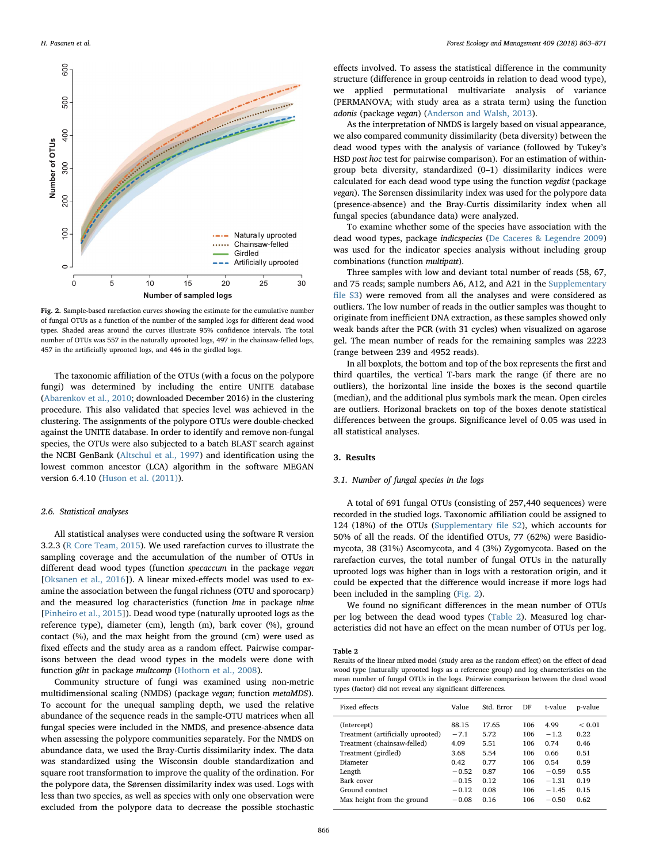<span id="page-3-0"></span>

Fig. 2. Sample-based rarefaction curves showing the estimate for the cumulative number of fungal OTUs as a function of the number of the sampled logs for different dead wood types. Shaded areas around the curves illustrate 95% confidence intervals. The total number of OTUs was 557 in the naturally uprooted logs, 497 in the chainsaw-felled logs, 457 in the artificially uprooted logs, and 446 in the girdled logs.

The taxonomic affiliation of the OTUs (with a focus on the polypore fungi) was determined by including the entire UNITE database ([Abarenkov et al., 2010;](#page-7-0) downloaded December 2016) in the clustering procedure. This also validated that species level was achieved in the clustering. The assignments of the polypore OTUs were double-checked against the UNITE database. In order to identify and remove non-fungal species, the OTUs were also subjected to a batch BLAST search against the NCBI GenBank [\(Altschul et al., 1997\)](#page-7-1) and identification using the lowest common ancestor (LCA) algorithm in the software MEGAN version 6.4.10 ([Huson et al. \(2011\)\)](#page-8-22).

#### 2.6. Statistical analyses

All statistical analyses were conducted using the software R version 3.2.3 ([R Core Team, 2015](#page-8-23)). We used rarefaction curves to illustrate the sampling coverage and the accumulation of the number of OTUs in different dead wood types (function specaccum in the package vegan [[Oksanen et al., 2016](#page-8-24)]). A linear mixed-effects model was used to examine the association between the fungal richness (OTU and sporocarp) and the measured log characteristics (function lme in package nlme [[Pinheiro et al., 2015](#page-8-25)]). Dead wood type (naturally uprooted logs as the reference type), diameter (cm), length (m), bark cover (%), ground contact (%), and the max height from the ground (cm) were used as fixed effects and the study area as a random effect. Pairwise comparisons between the dead wood types in the models were done with function glht in package multcomp ([Hothorn et al., 2008](#page-8-26)).

Community structure of fungi was examined using non-metric multidimensional scaling (NMDS) (package vegan; function metaMDS). To account for the unequal sampling depth, we used the relative abundance of the sequence reads in the sample-OTU matrices when all fungal species were included in the NMDS, and presence-absence data when assessing the polypore communities separately. For the NMDS on abundance data, we used the Bray-Curtis dissimilarity index. The data was standardized using the Wisconsin double standardization and square root transformation to improve the quality of the ordination. For the polypore data, the Sørensen dissimilarity index was used. Logs with less than two species, as well as species with only one observation were excluded from the polypore data to decrease the possible stochastic

effects involved. To assess the statistical difference in the community structure (difference in group centroids in relation to dead wood type), we applied permutational multivariate analysis of variance (PERMANOVA; with study area as a strata term) using the function adonis (package vegan) ([Anderson and Walsh, 2013](#page-7-2)).

As the interpretation of NMDS is largely based on visual appearance, we also compared community dissimilarity (beta diversity) between the dead wood types with the analysis of variance (followed by Tukey's HSD post hoc test for pairwise comparison). For an estimation of withingroup beta diversity, standardized (0–1) dissimilarity indices were calculated for each dead wood type using the function vegdist (package vegan). The Sørensen dissimilarity index was used for the polypore data (presence-absence) and the Bray-Curtis dissimilarity index when all fungal species (abundance data) were analyzed.

To examine whether some of the species have association with the dead wood types, package indicspecies ([De Caceres & Legendre 2009\)](#page-8-27) was used for the indicator species analysis without including group combinations (function multipatt).

Three samples with low and deviant total number of reads (58, 67, and 75 reads; sample numbers A6, A12, and A21 in the Supplementary file S3) were removed from all the analyses and were considered as outliers. The low number of reads in the outlier samples was thought to originate from inefficient DNA extraction, as these samples showed only weak bands after the PCR (with 31 cycles) when visualized on agarose gel. The mean number of reads for the remaining samples was 2223 (range between 239 and 4952 reads).

In all boxplots, the bottom and top of the box represents the first and third quartiles, the vertical T-bars mark the range (if there are no outliers), the horizontal line inside the boxes is the second quartile (median), and the additional plus symbols mark the mean. Open circles are outliers. Horizonal brackets on top of the boxes denote statistical differences between the groups. Significance level of 0.05 was used in all statistical analyses.

# 3. Results

#### 3.1. Number of fungal species in the logs

A total of 691 fungal OTUs (consisting of 257,440 sequences) were recorded in the studied logs. Taxonomic affiliation could be assigned to 124 (18%) of the OTUs (Supplementary file S2), which accounts for 50% of all the reads. Of the identified OTUs, 77 (62%) were Basidiomycota, 38 (31%) Ascomycota, and 4 (3%) Zygomycota. Based on the rarefaction curves, the total number of fungal OTUs in the naturally uprooted logs was higher than in logs with a restoration origin, and it could be expected that the difference would increase if more logs had been included in the sampling [\(Fig. 2](#page-3-0)).

We found no significant differences in the mean number of OTUs per log between the dead wood types ([Table 2](#page-3-1)). Measured log characteristics did not have an effect on the mean number of OTUs per log.

<span id="page-3-1"></span>Table 2

Results of the linear mixed model (study area as the random effect) on the effect of dead wood type (naturally uprooted logs as a reference group) and log characteristics on the mean number of fungal OTUs in the logs. Pairwise comparison between the dead wood types (factor) did not reveal any significant differences.

| Fixed effects                                                                                                                                                                              | Value                                                                               | Std. Error                                                            | DF                                                          | t-value                                                                            | p-value                                                                     |
|--------------------------------------------------------------------------------------------------------------------------------------------------------------------------------------------|-------------------------------------------------------------------------------------|-----------------------------------------------------------------------|-------------------------------------------------------------|------------------------------------------------------------------------------------|-----------------------------------------------------------------------------|
| (Intercept)<br>Treatment (artificially uprooted)<br>Treatment (chainsaw-felled)<br>Treatment (girdled)<br>Diameter<br>Length<br>Bark cover<br>Ground contact<br>Max height from the ground | 88.15<br>$-7.1$<br>4.09<br>3.68<br>0.42<br>$-0.52$<br>$-0.15$<br>$-0.12$<br>$-0.08$ | 17.65<br>5.72<br>5.51<br>5.54<br>0.77<br>0.87<br>0.12<br>0.08<br>0.16 | 106<br>106<br>106<br>106<br>106<br>106<br>106<br>106<br>106 | 4.99<br>$-1.2$<br>0.74<br>0.66<br>0.54<br>$-0.59$<br>$-1.31$<br>$-1.45$<br>$-0.50$ | ${}_{0.01}$<br>0.22<br>0.46<br>0.51<br>0.59<br>0.55<br>0.19<br>0.15<br>0.62 |
|                                                                                                                                                                                            |                                                                                     |                                                                       |                                                             |                                                                                    |                                                                             |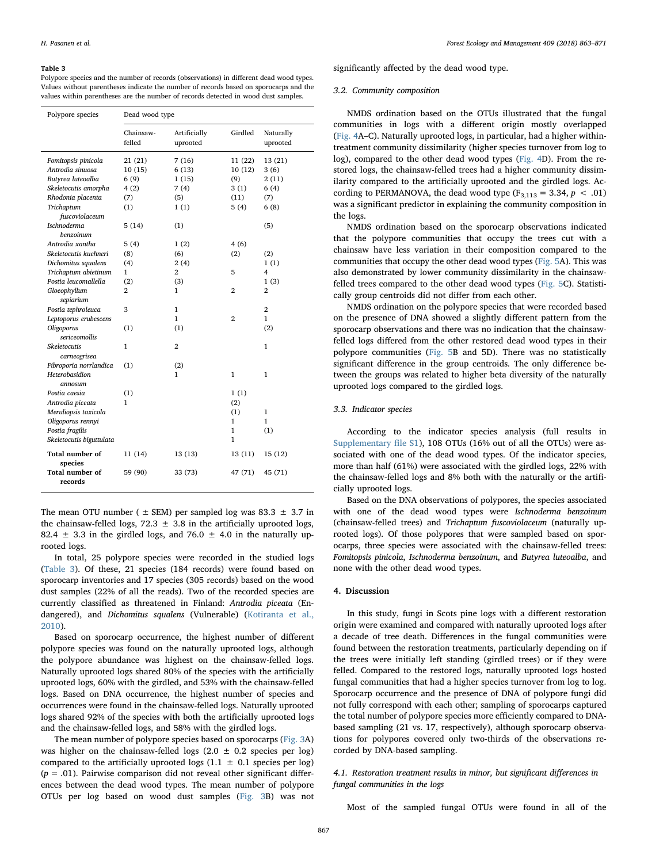#### <span id="page-4-0"></span>Table 3

Polypore species and the number of records (observations) in different dead wood types. Values without parentheses indicate the number of records based on sporocarps and the values within parentheses are the number of records detected in wood dust samples.

| Polypore species          | Dead wood type      |                          |                |                       |  |  |  |
|---------------------------|---------------------|--------------------------|----------------|-----------------------|--|--|--|
|                           | Chainsaw-<br>felled | Artificially<br>uprooted | Girdled        | Naturally<br>uprooted |  |  |  |
| Fomitopsis pinicola       | 21 (21)             | 7(16)                    | 11 (22)        | 13 (21)               |  |  |  |
| Antrodia sinuosa          | 10(15)              | 6(13)                    | 10(12)         | 3(6)                  |  |  |  |
| Butyrea luteoalba         | 6(9)                | 1(15)                    | (9)            | 2(11)                 |  |  |  |
| Skeletocutis amorpha      | 4(2)                | 7(4)                     | 3(1)           | 6(4)                  |  |  |  |
| Rhodonia placenta         | (7)                 | (5)                      | (11)           | (7)                   |  |  |  |
| Trichaptum                | (1)                 | 1(1)                     | 5(4)           | 6(8)                  |  |  |  |
| fuscoviolaceum            |                     |                          |                |                       |  |  |  |
| <b>Ischnoderma</b>        | 5(14)               | (1)                      |                | (5)                   |  |  |  |
| benzoinum                 |                     |                          |                |                       |  |  |  |
| Antrodia xantha           | 5 (4)               | 1(2)                     | 4(6)           |                       |  |  |  |
| Skeletocutis kuehneri     | (8)                 | (6)                      | (2)            | (2)                   |  |  |  |
| Dichomitus squalens       | (4)                 | 2(4)                     |                | 1(1)                  |  |  |  |
| Trichaptum abietinum      | 1                   | 2                        | 5              | 4                     |  |  |  |
| Postia leucomallella      | (2)                 | (3)                      |                | 1(3)                  |  |  |  |
| Gloeophyllum<br>sepiarium | 2                   | 1                        | $\overline{2}$ | 2                     |  |  |  |
| Postia tephroleuca        | 3                   | $\mathbf{1}$             |                | 2                     |  |  |  |
| Leptoporus erubescens     |                     | 1                        | $\overline{2}$ | 1                     |  |  |  |
| Oligoporus                | (1)                 | (1)                      |                | (2)                   |  |  |  |
| sericeomollis             |                     |                          |                |                       |  |  |  |
| Skeletocutis              | 1                   | 2                        |                | 1                     |  |  |  |
| carneogrisea              |                     |                          |                |                       |  |  |  |
| Fibroporia norrlandica    | (1)                 | (2)                      |                |                       |  |  |  |
| Heterobasidion            |                     | 1                        | $\mathbf{1}$   | $\mathbf{1}$          |  |  |  |
| annosum                   |                     |                          |                |                       |  |  |  |
| Postia caesia             | (1)                 |                          | 1(1)           |                       |  |  |  |
| Antrodia piceata          | 1                   |                          | (2)            |                       |  |  |  |
| Meruliopsis taxicola      |                     |                          | (1)            | $\mathbf{1}$          |  |  |  |
| Oligoporus rennyi         |                     |                          | 1              | 1                     |  |  |  |
| Postia fragilis           |                     |                          | 1              | (1)                   |  |  |  |
| Skeletocutis biguttulata  |                     |                          | 1              |                       |  |  |  |
| Total number of           | 11 (14)             | 13 (13)                  | 13 (11)        | 15 (12)               |  |  |  |
| species                   |                     |                          |                |                       |  |  |  |
| Total number of           | 59 (90)             | 33 (73)                  | 47 (71)        | 45 (71)               |  |  |  |
| records                   |                     |                          |                |                       |  |  |  |

The mean OTU number ( $\pm$  SEM) per sampled log was 83.3  $\pm$  3.7 in the chainsaw-felled logs,  $72.3 \pm 3.8$  in the artificially uprooted logs, 82.4  $\pm$  3.3 in the girdled logs, and 76.0  $\pm$  4.0 in the naturally uprooted logs.

In total, 25 polypore species were recorded in the studied logs ([Table 3\)](#page-4-0). Of these, 21 species (184 records) were found based on sporocarp inventories and 17 species (305 records) based on the wood dust samples (22% of all the reads). Two of the recorded species are currently classified as threatened in Finland: Antrodia piceata (Endangered), and Dichomitus squalens (Vulnerable) ([Kotiranta et al.,](#page-8-18) [2010\)](#page-8-18).

Based on sporocarp occurrence, the highest number of different polypore species was found on the naturally uprooted logs, although the polypore abundance was highest on the chainsaw-felled logs. Naturally uprooted logs shared 80% of the species with the artificially uprooted logs, 60% with the girdled, and 53% with the chainsaw-felled logs. Based on DNA occurrence, the highest number of species and occurrences were found in the chainsaw-felled logs. Naturally uprooted logs shared 92% of the species with both the artificially uprooted logs and the chainsaw-felled logs, and 58% with the girdled logs.

The mean number of polypore species based on sporocarps ([Fig. 3](#page-5-0)A) was higher on the chainsaw-felled logs  $(2.0 \pm 0.2$  species per log) compared to the artificially uprooted logs  $(1.1 \pm 0.1$  species per log)  $(p = .01)$ . Pairwise comparison did not reveal other significant differences between the dead wood types. The mean number of polypore OTUs per log based on wood dust samples ([Fig. 3](#page-5-0)B) was not significantly affected by the dead wood type.

#### 3.2. Community composition

NMDS ordination based on the OTUs illustrated that the fungal communities in logs with a different origin mostly overlapped ([Fig. 4](#page-6-0)A–C). Naturally uprooted logs, in particular, had a higher withintreatment community dissimilarity (higher species turnover from log to log), compared to the other dead wood types [\(Fig. 4](#page-6-0)D). From the restored logs, the chainsaw-felled trees had a higher community dissimilarity compared to the artificially uprooted and the girdled logs. According to PERMANOVA, the dead wood type  $(F_{3,113} = 3.34, p < .01)$ was a significant predictor in explaining the community composition in the logs.

NMDS ordination based on the sporocarp observations indicated that the polypore communities that occupy the trees cut with a chainsaw have less variation in their composition compared to the communities that occupy the other dead wood types ([Fig. 5A](#page-7-3)). This was also demonstrated by lower community dissimilarity in the chainsawfelled trees compared to the other dead wood types [\(Fig. 5C](#page-7-3)). Statistically group centroids did not differ from each other.

NMDS ordination on the polypore species that were recorded based on the presence of DNA showed a slightly different pattern from the sporocarp observations and there was no indication that the chainsawfelled logs differed from the other restored dead wood types in their polypore communities ([Fig. 5](#page-7-3)B and 5D). There was no statistically significant difference in the group centroids. The only difference between the groups was related to higher beta diversity of the naturally uprooted logs compared to the girdled logs.

## 3.3. Indicator species

According to the indicator species analysis (full results in Supplementary file S1), 108 OTUs (16% out of all the OTUs) were associated with one of the dead wood types. Of the indicator species, more than half (61%) were associated with the girdled logs, 22% with the chainsaw-felled logs and 8% both with the naturally or the artificially uprooted logs.

Based on the DNA observations of polypores, the species associated with one of the dead wood types were Ischnoderma benzoinum (chainsaw-felled trees) and Trichaptum fuscoviolaceum (naturally uprooted logs). Of those polypores that were sampled based on sporocarps, three species were associated with the chainsaw-felled trees: Fomitopsis pinicola, Ischnoderma benzoinum, and Butyrea luteoalba, and none with the other dead wood types.

# 4. Discussion

In this study, fungi in Scots pine logs with a different restoration origin were examined and compared with naturally uprooted logs after a decade of tree death. Differences in the fungal communities were found between the restoration treatments, particularly depending on if the trees were initially left standing (girdled trees) or if they were felled. Compared to the restored logs, naturally uprooted logs hosted fungal communities that had a higher species turnover from log to log. Sporocarp occurrence and the presence of DNA of polypore fungi did not fully correspond with each other; sampling of sporocarps captured the total number of polypore species more efficiently compared to DNAbased sampling (21 vs. 17, respectively), although sporocarp observations for polypores covered only two-thirds of the observations recorded by DNA-based sampling.

# 4.1. Restoration treatment results in minor, but significant differences in fungal communities in the logs

Most of the sampled fungal OTUs were found in all of the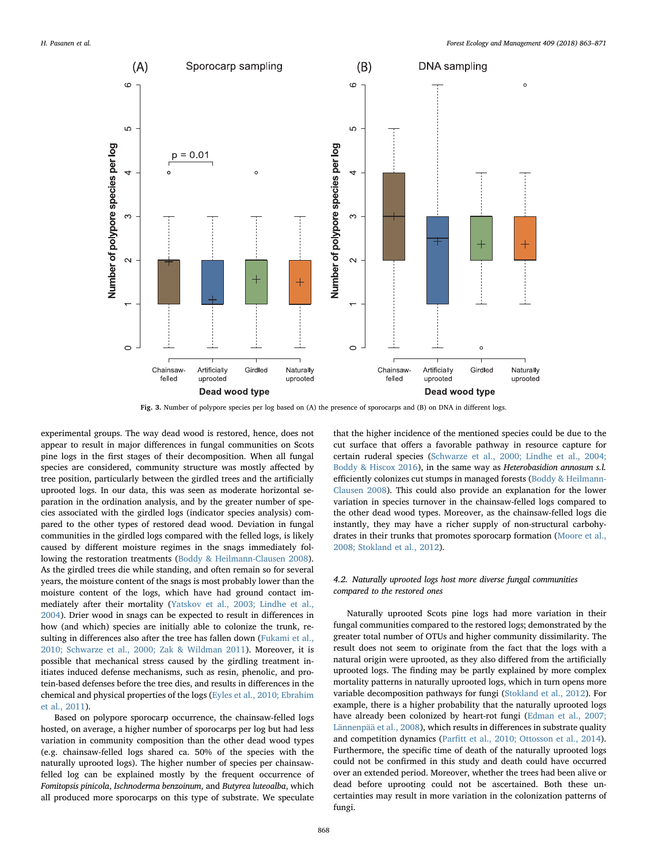<span id="page-5-0"></span>

Fig. 3. Number of polypore species per log based on (A) the presence of sporocarps and (B) on DNA in different logs.

experimental groups. The way dead wood is restored, hence, does not appear to result in major differences in fungal communities on Scots pine logs in the first stages of their decomposition. When all fungal species are considered, community structure was mostly affected by tree position, particularly between the girdled trees and the artificially uprooted logs. In our data, this was seen as moderate horizontal separation in the ordination analysis, and by the greater number of species associated with the girdled logs (indicator species analysis) compared to the other types of restored dead wood. Deviation in fungal communities in the girdled logs compared with the felled logs, is likely caused by different moisture regimes in the snags immediately following the restoration treatments ([Boddy & Heilmann-Clausen 2008](#page-8-12)). As the girdled trees die while standing, and often remain so for several years, the moisture content of the snags is most probably lower than the moisture content of the logs, which have had ground contact immediately after their mortality [\(Yatskov et al., 2003; Lindhe et al.,](#page-8-28) [2004\)](#page-8-28). Drier wood in snags can be expected to result in differences in how (and which) species are initially able to colonize the trunk, resulting in differences also after the tree has fallen down [\(Fukami et al.,](#page-8-10) [2010; Schwarze et al., 2000; Zak & Wildman 2011\)](#page-8-10). Moreover, it is possible that mechanical stress caused by the girdling treatment initiates induced defense mechanisms, such as resin, phenolic, and protein-based defenses before the tree dies, and results in differences in the chemical and physical properties of the logs [\(Eyles et al., 2010; Ebrahim](#page-8-29) [et al., 2011](#page-8-29)).

Based on polypore sporocarp occurrence, the chainsaw-felled logs hosted, on average, a higher number of sporocarps per log but had less variation in community composition than the other dead wood types (e.g. chainsaw-felled logs shared ca. 50% of the species with the naturally uprooted logs). The higher number of species per chainsawfelled log can be explained mostly by the frequent occurrence of Fomitopsis pinicola, Ischnoderma benzoinum, and Butyrea luteoalba, which all produced more sporocarps on this type of substrate. We speculate that the higher incidence of the mentioned species could be due to the cut surface that offers a favorable pathway in resource capture for certain ruderal species [\(Schwarze et al., 2000; Lindhe et al., 2004;](#page-8-30) [Boddy & Hiscox 2016](#page-8-30)), in the same way as Heterobasidion annosum s.l. efficiently colonizes cut stumps in managed forests ([Boddy & Heilmann-](#page-8-12)[Clausen 2008](#page-8-12)). This could also provide an explanation for the lower variation in species turnover in the chainsaw-felled logs compared to the other dead wood types. Moreover, as the chainsaw-felled logs die instantly, they may have a richer supply of non-structural carbohydrates in their trunks that promotes sporocarp formation ([Moore et al.,](#page-8-31) [2008; Stokland et al., 2012\)](#page-8-31).

# 4.2. Naturally uprooted logs host more diverse fungal communities compared to the restored ones

Naturally uprooted Scots pine logs had more variation in their fungal communities compared to the restored logs; demonstrated by the greater total number of OTUs and higher community dissimilarity. The result does not seem to originate from the fact that the logs with a natural origin were uprooted, as they also differed from the artificially uprooted logs. The finding may be partly explained by more complex mortality patterns in naturally uprooted logs, which in turn opens more variable decomposition pathways for fungi [\(Stokland et al., 2012](#page-8-13)). For example, there is a higher probability that the naturally uprooted logs have already been colonized by heart-rot fungi [\(Edman et al., 2007;](#page-8-32) [Lännenpää et al., 2008](#page-8-32)), which results in differences in substrate quality and competition dynamics (Parfi[tt et al., 2010; Ottosson et al., 2014](#page-8-33)). Furthermore, the specific time of death of the naturally uprooted logs could not be confirmed in this study and death could have occurred over an extended period. Moreover, whether the trees had been alive or dead before uprooting could not be ascertained. Both these uncertainties may result in more variation in the colonization patterns of fungi.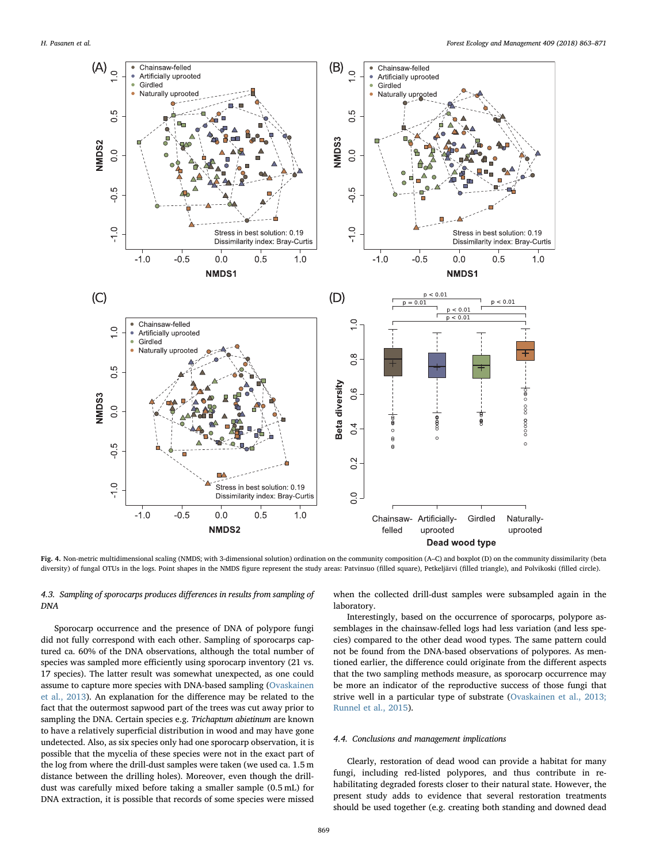<span id="page-6-0"></span>

Fig. 4. Non-metric multidimensional scaling (NMDS; with 3-dimensional solution) ordination on the community composition (A–C) and boxplot (D) on the community dissimilarity (beta diversity) of fungal OTUs in the logs. Point shapes in the NMDS figure represent the study areas: Patvinsuo (filled square), Petkeljärvi (filled triangle), and Polvikoski (filled circle).

# 4.3. Sampling of sporocarps produces differences in results from sampling of DNA

Sporocarp occurrence and the presence of DNA of polypore fungi did not fully correspond with each other. Sampling of sporocarps captured ca. 60% of the DNA observations, although the total number of species was sampled more efficiently using sporocarp inventory (21 vs. 17 species). The latter result was somewhat unexpected, as one could assume to capture more species with DNA-based sampling ([Ovaskainen](#page-8-34) [et al., 2013](#page-8-34)). An explanation for the difference may be related to the fact that the outermost sapwood part of the trees was cut away prior to sampling the DNA. Certain species e.g. Trichaptum abietinum are known to have a relatively superficial distribution in wood and may have gone undetected. Also, as six species only had one sporocarp observation, it is possible that the mycelia of these species were not in the exact part of the log from where the drill-dust samples were taken (we used ca. 1.5 m distance between the drilling holes). Moreover, even though the drilldust was carefully mixed before taking a smaller sample (0.5 mL) for DNA extraction, it is possible that records of some species were missed

when the collected drill-dust samples were subsampled again in the laboratory.

Interestingly, based on the occurrence of sporocarps, polypore assemblages in the chainsaw-felled logs had less variation (and less species) compared to the other dead wood types. The same pattern could not be found from the DNA-based observations of polypores. As mentioned earlier, the difference could originate from the different aspects that the two sampling methods measure, as sporocarp occurrence may be more an indicator of the reproductive success of those fungi that strive well in a particular type of substrate [\(Ovaskainen et al., 2013;](#page-8-34) [Runnel et al., 2015](#page-8-34)).

## 4.4. Conclusions and management implications

Clearly, restoration of dead wood can provide a habitat for many fungi, including red-listed polypores, and thus contribute in rehabilitating degraded forests closer to their natural state. However, the present study adds to evidence that several restoration treatments should be used together (e.g. creating both standing and downed dead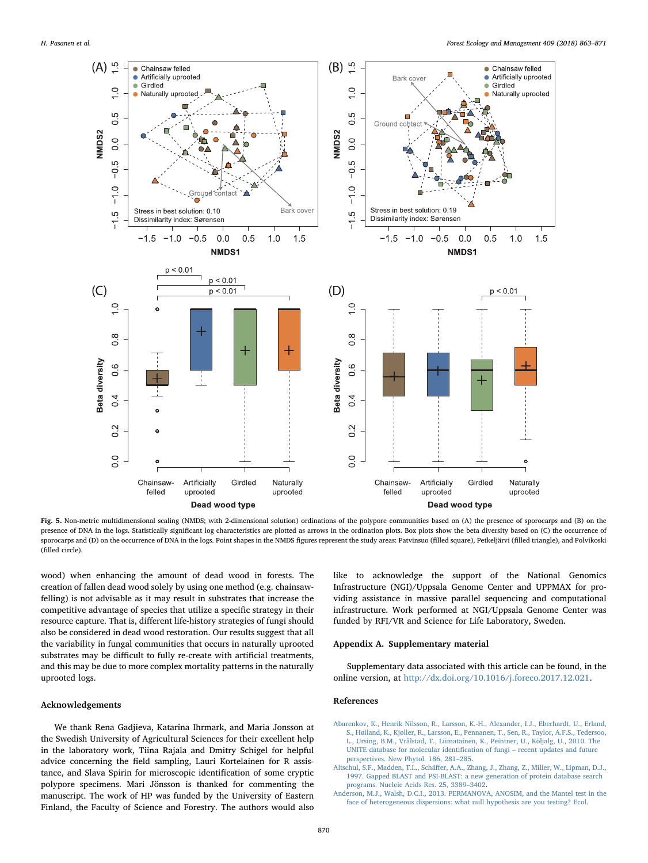<span id="page-7-3"></span>

Fig. 5. Non-metric multidimensional scaling (NMDS; with 2-dimensional solution) ordinations of the polypore communities based on (A) the presence of sporocarps and (B) on the presence of DNA in the logs. Statistically significant log characteristics are plotted as arrows in the ordination plots. Box plots show the beta diversity based on (C) the occurrence of sporocarps and (D) on the occurrence of DNA in the logs. Point shapes in the NMDS figures represent the study areas: Patvinsuo (filled square), Petkeljärvi (filled triangle), and Polvikoski (filled circle).

wood) when enhancing the amount of dead wood in forests. The creation of fallen dead wood solely by using one method (e.g. chainsawfelling) is not advisable as it may result in substrates that increase the competitive advantage of species that utilize a specific strategy in their resource capture. That is, different life-history strategies of fungi should also be considered in dead wood restoration. Our results suggest that all the variability in fungal communities that occurs in naturally uprooted substrates may be difficult to fully re-create with artificial treatments, and this may be due to more complex mortality patterns in the naturally uprooted logs.

## Acknowledgements

We thank Rena Gadjieva, Katarina Ihrmark, and Maria Jonsson at the Swedish University of Agricultural Sciences for their excellent help in the laboratory work, Tiina Rajala and Dmitry Schigel for helpful advice concerning the field sampling, Lauri Kortelainen for R assistance, and Slava Spirin for microscopic identification of some cryptic polypore specimens. Mari Jönsson is thanked for commenting the manuscript. The work of HP was funded by the University of Eastern Finland, the Faculty of Science and Forestry. The authors would also

like to acknowledge the support of the National Genomics Infrastructure (NGI)/Uppsala Genome Center and UPPMAX for providing assistance in massive parallel sequencing and computational infrastructure. Work performed at NGI/Uppsala Genome Center was funded by RFI/VR and Science for Life Laboratory, Sweden.

# Appendix A. Supplementary material

Supplementary data associated with this article can be found, in the online version, at <http://dx.doi.org/10.1016/j.foreco.2017.12.021>.

### References

- <span id="page-7-0"></span>[Abarenkov, K., Henrik Nilsson, R., Larsson, K.-H., Alexander, I.J., Eberhardt, U., Erland,](http://refhub.elsevier.com/S0378-1127(17)30644-8/h0005) [S., Høiland, K., Kjøller, R., Larsson, E., Pennanen, T., Sen, R., Taylor, A.F.S., Tedersoo,](http://refhub.elsevier.com/S0378-1127(17)30644-8/h0005) Ursing, B.M., Vrålstad, T., Liimatainen, K., Peintner, U., Kõljalg, U., 2010. The [UNITE database for molecular identi](http://refhub.elsevier.com/S0378-1127(17)30644-8/h0005)fication of fungi – recent updates and future [perspectives. New Phytol. 186, 281](http://refhub.elsevier.com/S0378-1127(17)30644-8/h0005)–285.
- <span id="page-7-1"></span>Altschul, S.F., Madden, T.L., Schäff[er, A.A., Zhang, J., Zhang, Z., Miller, W., Lipman, D.J.,](http://refhub.elsevier.com/S0378-1127(17)30644-8/h0010) [1997. Gapped BLAST and PSI-BLAST: a new generation of protein database search](http://refhub.elsevier.com/S0378-1127(17)30644-8/h0010) [programs. Nucleic Acids Res. 25, 3389](http://refhub.elsevier.com/S0378-1127(17)30644-8/h0010)–3402.
- <span id="page-7-2"></span>[Anderson, M.J., Walsh, D.C.I., 2013. PERMANOVA, ANOSIM, and the Mantel test in the](http://refhub.elsevier.com/S0378-1127(17)30644-8/h0015) [face of heterogeneous dispersions: what null hypothesis are you testing? Ecol.](http://refhub.elsevier.com/S0378-1127(17)30644-8/h0015)